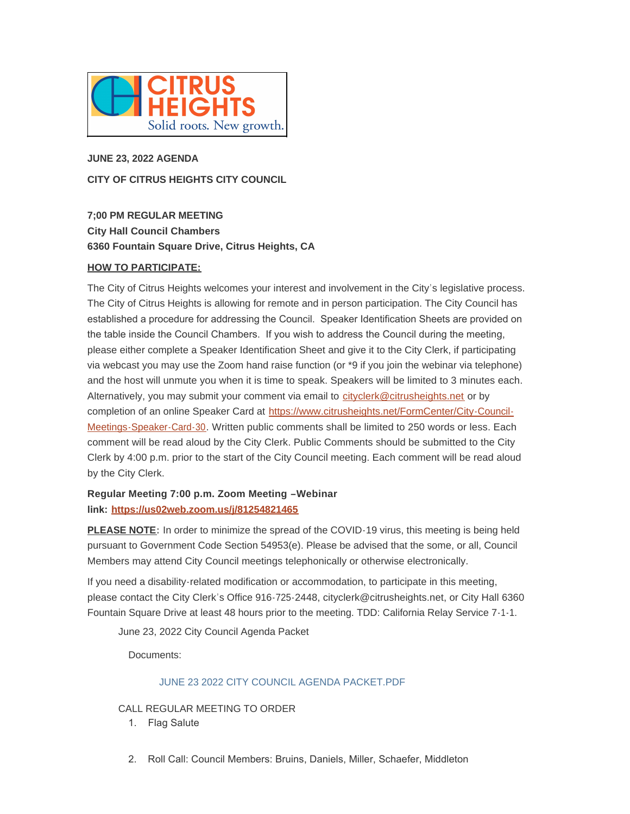

# **JUNE 23, 2022 AGENDA CITY OF CITRUS HEIGHTS CITY COUNCIL**

# **7;00 PM REGULAR MEETING City Hall Council Chambers 6360 Fountain Square Drive, Citrus Heights, CA**

## **HOW TO PARTICIPATE:**

The City of Citrus Heights welcomes your interest and involvement in the City's legislative process. The City of Citrus Heights is allowing for remote and in person participation. The City Council has established a procedure for addressing the Council. Speaker Identification Sheets are provided on the table inside the Council Chambers. If you wish to address the Council during the meeting, please either complete a Speaker Identification Sheet and give it to the City Clerk, if participating via webcast you may use the Zoom hand raise function (or \*9 if you join the webinar via telephone) and the host will unmute you when it is time to speak. Speakers will be limited to 3 minutes each. Alternatively, you may submit your comment via email to [cityclerk@citrusheights.net](mailto:cityclerk@citrusheights.net) or by completion of an online Speaker Card at https://www.citrusheights.net/FormCenter/City-Council-Meetings-Speaker-Card-30. Written publ[ic comments shall be limited to 250 words or less. Each](https://www.citrusheights.net/FormCenter/City-Council-Meetings-Speaker-Card-30)  comment will be read aloud by the City Clerk. Public Comments should be submitted to the City Clerk by 4:00 p.m. prior to the start of the City Council meeting. Each comment will be read aloud by the City Clerk.

# **Regular Meeting 7:00 p.m. Zoom Meeting –Webinar link: <https://us02web.zoom.us/j/81254821465>**

**PLEASE NOTE:** In order to minimize the spread of the COVID-19 virus, this meeting is being held pursuant to Government Code Section 54953(e). Please be advised that the some, or all, Council Members may attend City Council meetings telephonically or otherwise electronically.

If you need a disability-related modification or accommodation, to participate in this meeting, please contact the City Clerk's Office 916-725-2448, cityclerk@citrusheights.net, or City Hall 6360 Fountain Square Drive at least 48 hours prior to the meeting. TDD: California Relay Service 7-1-1.

June 23, 2022 City Council Agenda Packet

Documents:

## [JUNE 23 2022 CITY COUNCIL AGENDA PACKET.PDF](http://www.citrusheights.net/AgendaCenter/ViewFile/Item/6811?fileID=34887)

## CALL REGULAR MEETING TO ORDER

- 1. Flag Salute
- 2. Roll Call: Council Members: Bruins, Daniels, Miller, Schaefer, Middleton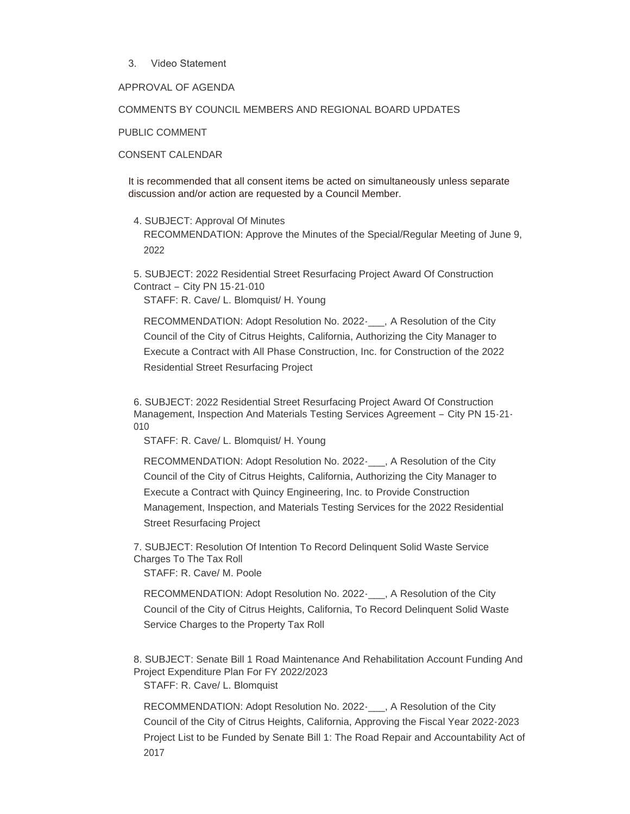3. Video Statement

#### APPROVAL OF AGENDA

#### COMMENTS BY COUNCIL MEMBERS AND REGIONAL BOARD UPDATES

#### PUBLIC COMMENT

#### CONSENT CALENDAR

It is recommended that all consent items be acted on simultaneously unless separate discussion and/or action are requested by a Council Member.

4. SUBJECT: Approval Of Minutes

RECOMMENDATION: Approve the Minutes of the Special/Regular Meeting of June 9, 2022

5. SUBJECT: 2022 Residential Street Resurfacing Project Award Of Construction Contract – City PN 15-21-010

STAFF: R. Cave/ L. Blomquist/ H. Young

RECOMMENDATION: Adopt Resolution No. 2022-\_\_\_, A Resolution of the City Council of the City of Citrus Heights, California, Authorizing the City Manager to Execute a Contract with All Phase Construction, Inc. for Construction of the 2022 Residential Street Resurfacing Project

6. SUBJECT: 2022 Residential Street Resurfacing Project Award Of Construction Management, Inspection And Materials Testing Services Agreement – City PN 15-21- 010

STAFF: R. Cave/ L. Blomquist/ H. Young

RECOMMENDATION: Adopt Resolution No. 2022-\_\_\_, A Resolution of the City Council of the City of Citrus Heights, California, Authorizing the City Manager to Execute a Contract with Quincy Engineering, Inc. to Provide Construction Management, Inspection, and Materials Testing Services for the 2022 Residential Street Resurfacing Project

7. SUBJECT: Resolution Of Intention To Record Delinquent Solid Waste Service Charges To The Tax Roll

STAFF: R. Cave/ M. Poole

RECOMMENDATION: Adopt Resolution No. 2022- , A Resolution of the City Council of the City of Citrus Heights, California, To Record Delinquent Solid Waste Service Charges to the Property Tax Roll

8. SUBJECT: Senate Bill 1 Road Maintenance And Rehabilitation Account Funding And Project Expenditure Plan For FY 2022/2023 STAFF: R. Cave/ L. Blomquist

RECOMMENDATION: Adopt Resolution No. 2022-\_\_\_, A Resolution of the City Council of the City of Citrus Heights, California, Approving the Fiscal Year 2022-2023 Project List to be Funded by Senate Bill 1: The Road Repair and Accountability Act of 2017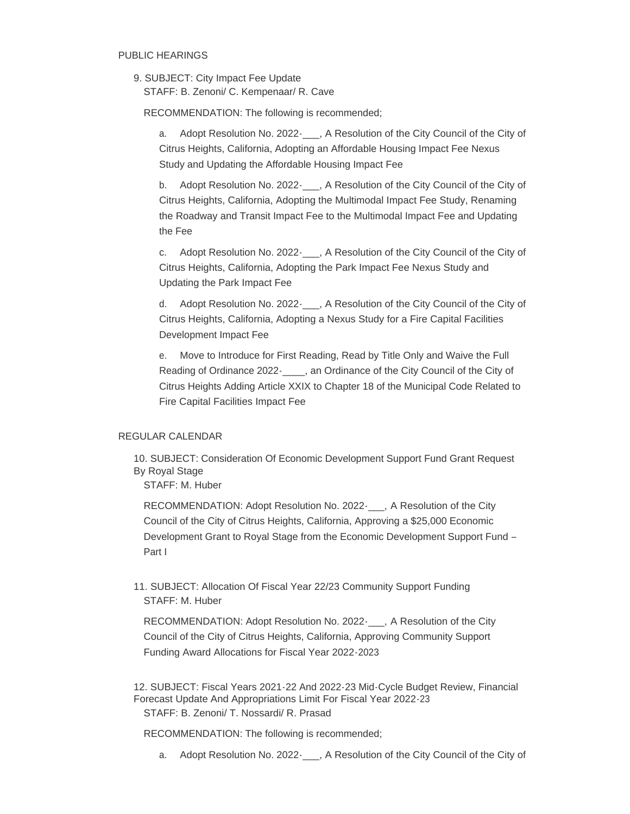#### 9. SUBJECT: City Impact Fee Update STAFF: B. Zenoni/ C. Kempenaar/ R. Cave

RECOMMENDATION: The following is recommended;

a. Adopt Resolution No. 2022-\_\_\_, A Resolution of the City Council of the City of Citrus Heights, California, Adopting an Affordable Housing Impact Fee Nexus Study and Updating the Affordable Housing Impact Fee

b. Adopt Resolution No. 2022-\_\_\_, A Resolution of the City Council of the City of Citrus Heights, California, Adopting the Multimodal Impact Fee Study, Renaming the Roadway and Transit Impact Fee to the Multimodal Impact Fee and Updating the Fee

c. Adopt Resolution No. 2022-\_\_\_, A Resolution of the City Council of the City of Citrus Heights, California, Adopting the Park Impact Fee Nexus Study and Updating the Park Impact Fee

d. Adopt Resolution No. 2022-\_\_\_, A Resolution of the City Council of the City of Citrus Heights, California, Adopting a Nexus Study for a Fire Capital Facilities Development Impact Fee

e. Move to Introduce for First Reading, Read by Title Only and Waive the Full Reading of Ordinance 2022-\_\_\_\_, an Ordinance of the City Council of the City of Citrus Heights Adding Article XXIX to Chapter 18 of the Municipal Code Related to Fire Capital Facilities Impact Fee

## REGULAR CALENDAR

10. SUBJECT: Consideration Of Economic Development Support Fund Grant Request By Royal Stage

STAFF: M. Huber

RECOMMENDATION: Adopt Resolution No. 2022-\_\_\_, A Resolution of the City Council of the City of Citrus Heights, California, Approving a \$25,000 Economic Development Grant to Royal Stage from the Economic Development Support Fund – Part I

# 11. SUBJECT: Allocation Of Fiscal Year 22/23 Community Support Funding STAFF: M. Huber

RECOMMENDATION: Adopt Resolution No. 2022-\_\_\_, A Resolution of the City Council of the City of Citrus Heights, California, Approving Community Support Funding Award Allocations for Fiscal Year 2022-2023

12. SUBJECT: Fiscal Years 2021-22 And 2022-23 Mid-Cycle Budget Review, Financial Forecast Update And Appropriations Limit For Fiscal Year 2022-23 STAFF: B. Zenoni/ T. Nossardi/ R. Prasad

RECOMMENDATION: The following is recommended;

a. Adopt Resolution No. 2022-\_\_\_, A Resolution of the City Council of the City of